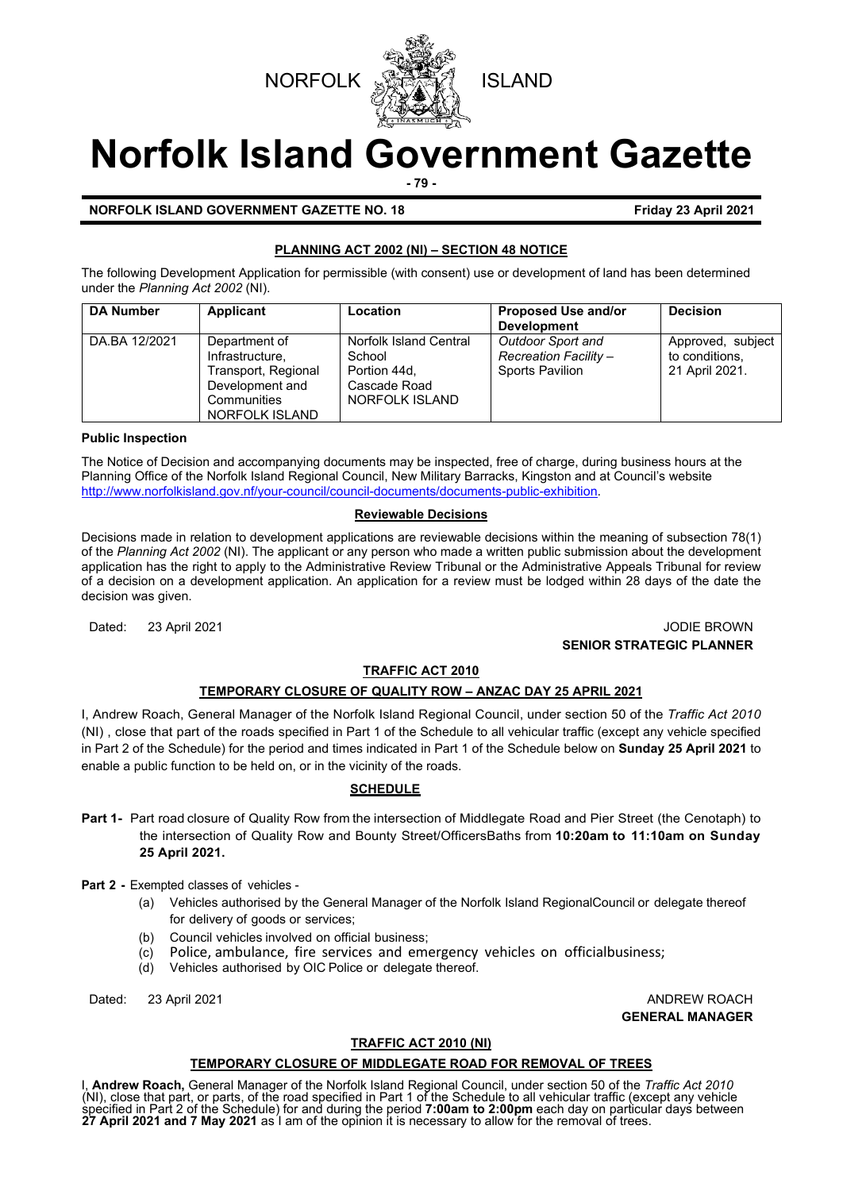



# **Norfolk Island Government Gazette**

**- 79 -**

**NORFOLK ISLAND GOVERNMENT GAZETTE NO. 18 Friday 23 April 2021**

#### **PLANNING ACT 2002 (NI) – SECTION 48 NOTICE**

The following Development Application for permissible (with consent) use or development of land has been determined under the *Planning Act 2002* (NI).

| <b>DA Number</b> | <b>Applicant</b>                                                                                            | Location                                                                           | <b>Proposed Use and/or</b><br><b>Development</b>                     | <b>Decision</b>                                       |
|------------------|-------------------------------------------------------------------------------------------------------------|------------------------------------------------------------------------------------|----------------------------------------------------------------------|-------------------------------------------------------|
| DA.BA 12/2021    | Department of<br>Infrastructure,<br>Transport, Regional<br>Development and<br>Communities<br>NORFOLK ISLAND | Norfolk Island Central<br>School<br>Portion 44d.<br>Cascade Road<br>NORFOLK ISLAND | Outdoor Sport and<br><b>Recreation Facility -</b><br>Sports Pavilion | Approved, subject<br>to conditions,<br>21 April 2021. |

#### **Public Inspection**

The Notice of Decision and accompanying documents may be inspected, free of charge, during business hours at the Planning Office of the Norfolk Island Regional Council, New Military Barracks, Kingston and at Council's website [http://www.norfolkisland.gov.nf/your-council/council-documents/documents-public-exhibition.](http://www.norfolkisland.gov.nf/your-council/council-documents/documents-public-exhibition)

#### **Reviewable Decisions**

Decisions made in relation to development applications are reviewable decisions within the meaning of subsection 78(1) of the *Planning Act 2002* (NI). The applicant or any person who made a written public submission about the development application has the right to apply to the Administrative Review Tribunal or the Administrative Appeals Tribunal for review of a decision on a development application. An application for a review must be lodged within 28 days of the date the decision was given.

#### Dated: 23 April 2021 **Dated:** 23 April 2021 **SENIOR STRATEGIC PLANNER**

#### **TRAFFIC ACT 2010**

#### **TEMPORARY CLOSURE OF QUALITY ROW – ANZAC DAY 25 APRIL 2021**

I, Andrew Roach, General Manager of the Norfolk Island Regional Council, under section 50 of the *Traffic Act 2010* (NI) , close that part of the roads specified in Part 1 of the Schedule to all vehicular traffic (except any vehicle specified in Part 2 of the Schedule) for the period and times indicated in Part 1 of the Schedule below on **Sunday 25 April 2021** to enable a public function to be held on, or in the vicinity of the roads.

#### **SCHEDULE**

**Part 1-** Part road closure of Quality Row from the intersection of Middlegate Road and Pier Street (the Cenotaph) to the intersection of Quality Row and Bounty Street/OfficersBaths from **10:20am to 11:10am on Sunday 25 April 2021.**

**Part 2 -** Exempted classes of vehicles -

- (a) Vehicles authorised by the General Manager of the Norfolk Island RegionalCouncil or delegate thereof for delivery of goods or services;
- (b) Council vehicles involved on official business;
- (c) Police, ambulance, fire services and emergency vehicles on officialbusiness;
- (d) Vehicles authorised by OIC Police or delegate thereof.

Dated: 23 April 2021 **ANDREW ROACH GENERAL MANAGER**

#### **TRAFFIC ACT 2010 (NI)**

#### **TEMPORARY CLOSURE OF MIDDLEGATE ROAD FOR REMOVAL OF TREES**

I, **Andrew Roach,** General Manager of the Norfolk Island Regional Council, under section 50 of the *Traffic Act 2010* (NI), close that part, or parts, of the road specified in Part 1 of the Schedule to all vehicular traffic (except any vehicle specified in Part 2 of the Schedule) for and during the period **7:00am to 2:00pm** each day on particular days between **27 April 2021 and 7 May 2021** as I am of the opinion it is necessary to allow for the removal of trees.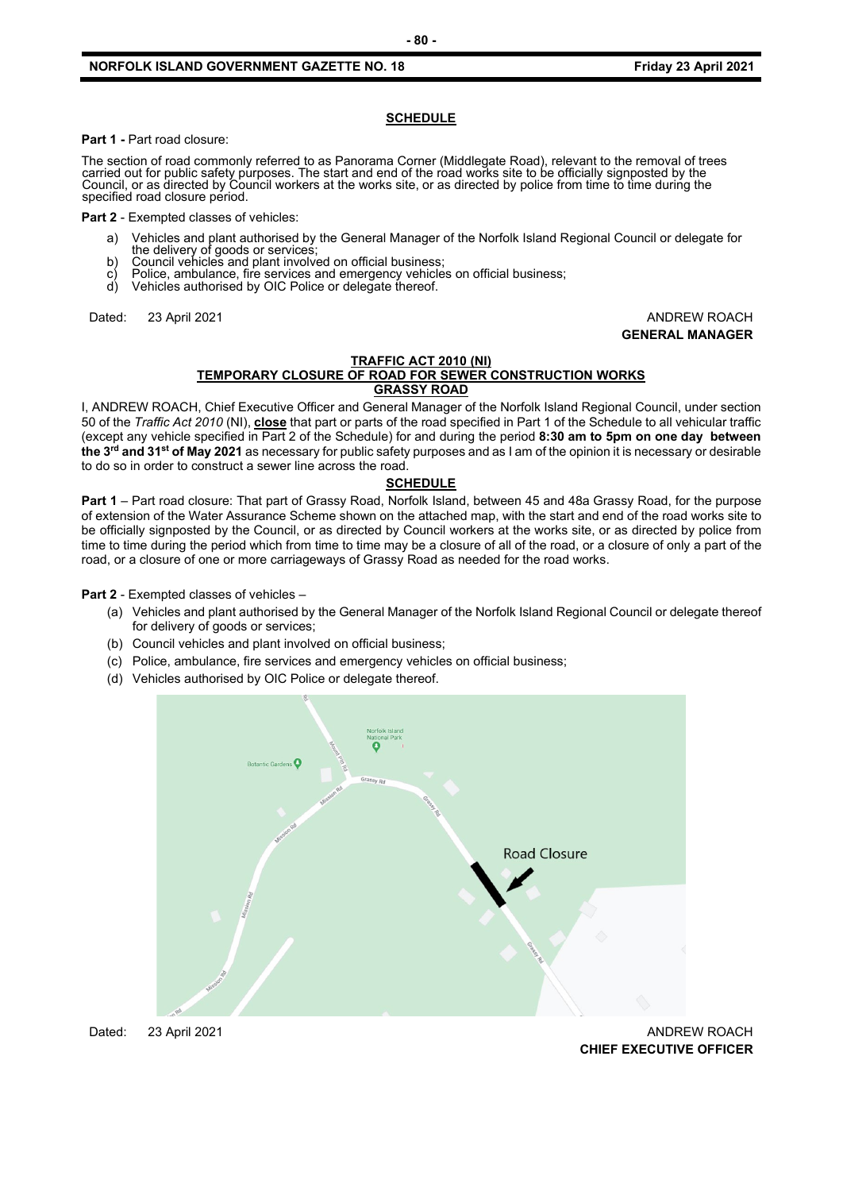#### **NORFOLK ISLAND GOVERNMENT GAZETTE NO. 18 Friday 23 April 2021**

#### **SCHEDULE**

**Part 1 -** Part road closure:

The section of road commonly referred to as Panorama Corner (Middlegate Road), relevant to the removal of trees carried out for public safety purposes. The start and end of the road works site to be officially signposted by the<br>Council, or as directed by Council workers at the works site, or as directed by police from time to time d specified road closure period.

**Part 2** - Exempted classes of vehicles:

- a) Vehicles and plant authorised by the General Manager of the Norfolk Island Regional Council or delegate for the delivery of goods or services;
- b) Council vehicles and plant involved on official business;
- c) Police, ambulance, fire services and emergency vehicles on official business;<br>d) Vehicles authorised by OIC Police or delegate thereof.
- d) Vehicles authorised by OIC Police or delegate thereof.

Dated: 23 April 2021 **ANDREW ROACH** 

### **GENERAL MANAGER**

#### **TRAFFIC ACT 2010 (NI)**

**TEMPORARY CLOSURE OF ROAD FOR SEWER CONSTRUCTION WORKS GRASSY ROAD**

I, ANDREW ROACH, Chief Executive Officer and General Manager of the Norfolk Island Regional Council, under section 50 of the *Traffic Act 2010* (NI), **close** that part or parts of the road specified in Part 1 of the Schedule to all vehicular traffic (except any vehicle specified in Part 2 of the Schedule) for and during the period **8:30 am to 5pm on one day between the 3rd and 31st of May 2021** as necessary for public safety purposes and as I am of the opinion it is necessary or desirable to do so in order to construct a sewer line across the road.

#### **SCHEDULE**

**Part 1** – Part road closure: That part of Grassy Road, Norfolk Island, between 45 and 48a Grassy Road, for the purpose of extension of the Water Assurance Scheme shown on the attached map, with the start and end of the road works site to be officially signposted by the Council, or as directed by Council workers at the works site, or as directed by police from time to time during the period which from time to time may be a closure of all of the road, or a closure of only a part of the road, or a closure of one or more carriageways of Grassy Road as needed for the road works.

**Part 2** - Exempted classes of vehicles –

- (a) Vehicles and plant authorised by the General Manager of the Norfolk Island Regional Council or delegate thereof for delivery of goods or services;
- (b) Council vehicles and plant involved on official business;
- (c) Police, ambulance, fire services and emergency vehicles on official business;
- (d) Vehicles authorised by OIC Police or delegate thereof.



**CHIEF EXECUTIVE OFFICER**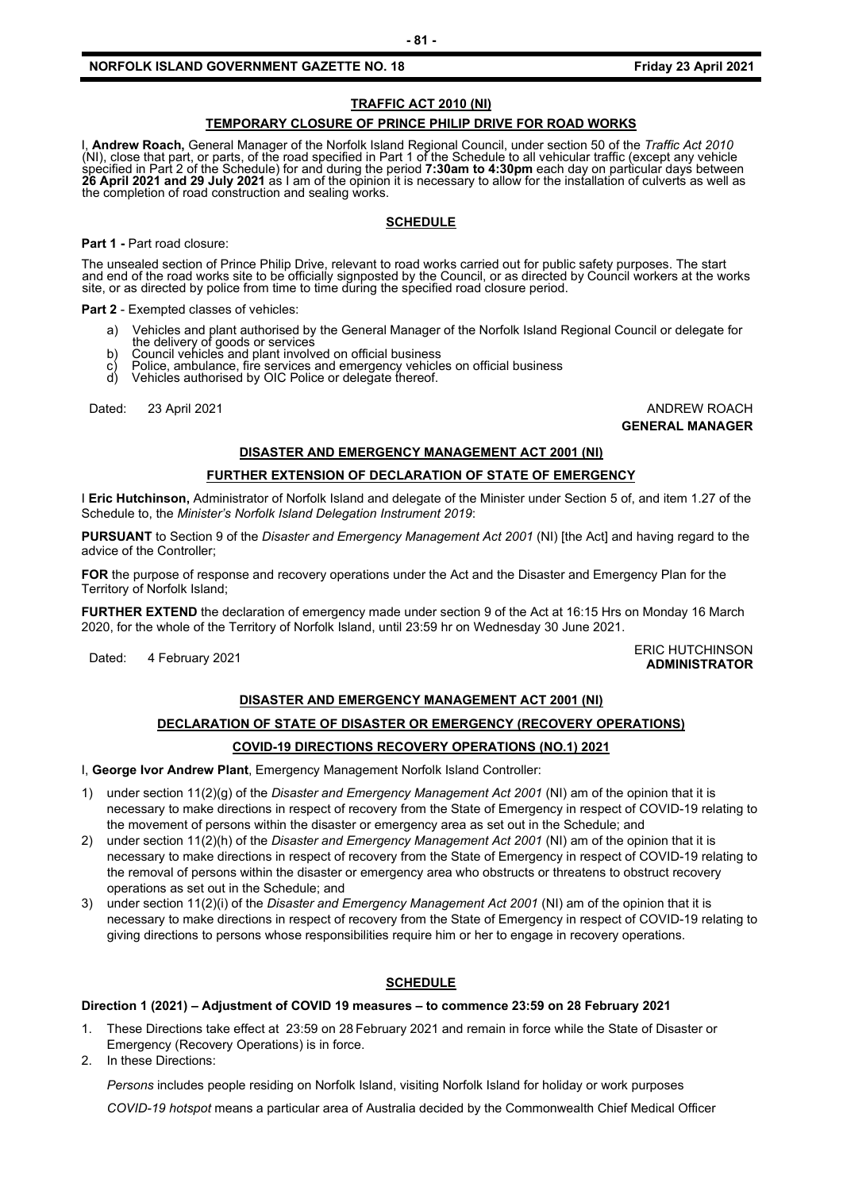#### **NORFOLK ISLAND GOVERNMENT GAZETTE NO. 18 Friday 23 April 2021**

#### **TRAFFIC ACT 2010 (NI)**

#### **TEMPORARY CLOSURE OF PRINCE PHILIP DRIVE FOR ROAD WORKS**

I, **Andrew Roach,** General Manager of the Norfolk Island Regional Council, under section 50 of the *Traffic Act 2010* (NI), close that part, or parts, of the road specified in Part 1 of the Schedule to all vehicular traffic (except any vehicle specified in Part 2 of the Schedule) for and during the period **7:30am to 4:30pm** each day on particular days between **26 April 2021 and 29 July 2021** as I am of the opinion it is necessary to allow for the installation of culverts as well as the completion of road construction and sealing works.

#### **SCHEDULE**

**Part 1 -** Part road closure:

The unsealed section of Prince Philip Drive, relevant to road works carried out for public safety purposes. The start<br>and end of the road works site to be officially signposted by the Council, or as directed by Council wor site, or as directed by police from time to time during the specified road closure period.

**Part 2** - Exempted classes of vehicles:

- a) Vehicles and plant authorised by the General Manager of the Norfolk Island Regional Council or delegate for<br>the delivery of goods or services<br>b) Council vehicles and plant involved on official business b) Council vehicles and plant involved on official business<br>b) Council vehicles and plant involved on official business<br>c) Police, ambulance, fire services and emergency vehicle
- 
- c) Police, ambulance, fire services and emergency vehicles on official business
- Vehicles authorised by OIC Police or delegate thereof.

Dated: 23 April 2021 **ANDREW ROACH** 

**GENERAL MANAGER**

**ADMINISTRATOR**

#### **DISASTER AND EMERGENCY MANAGEMENT ACT 2001 (NI)**

#### **FURTHER EXTENSION OF DECLARATION OF STATE OF EMERGENCY**

I **Eric Hutchinson,** Administrator of Norfolk Island and delegate of the Minister under Section 5 of, and item 1.27 of the Schedule to, the *Minister's Norfolk Island Delegation Instrument 2019*:

**PURSUANT** to Section 9 of the *Disaster and Emergency Management Act 2001* (NI) [the Act] and having regard to the advice of the Controller;

**FOR** the purpose of response and recovery operations under the Act and the Disaster and Emergency Plan for the Territory of Norfolk Island;

**FURTHER EXTEND** the declaration of emergency made under section 9 of the Act at 16:15 Hrs on Monday 16 March 2020, for the whole of the Territory of Norfolk Island, until 23:59 hr on Wednesday 30 June 2021.

Dated: 4 February 2021<br>Dated: 4 February 2021

#### **DISASTER AND EMERGENCY MANAGEMENT ACT 2001 (NI)**

#### **DECLARATION OF STATE OF DISASTER OR EMERGENCY (RECOVERY OPERATIONS) COVID-19 DIRECTIONS RECOVERY OPERATIONS (NO.1) 2021**

I, **George Ivor Andrew Plant**, Emergency Management Norfolk Island Controller:

- 1) under section 11(2)(g) of the *Disaster and Emergency Management Act 2001* (NI) am of the opinion that it is necessary to make directions in respect of recovery from the State of Emergency in respect of COVID-19 relating to the movement of persons within the disaster or emergency area as set out in the Schedule; and
- 2) under section 11(2)(h) of the *Disaster and Emergency Management Act 2001* (NI) am of the opinion that it is necessary to make directions in respect of recovery from the State of Emergency in respect of COVID-19 relating to the removal of persons within the disaster or emergency area who obstructs or threatens to obstruct recovery operations as set out in the Schedule; and
- 3) under section 11(2)(i) of the *Disaster and Emergency Management Act 2001* (NI) am of the opinion that it is necessary to make directions in respect of recovery from the State of Emergency in respect of COVID-19 relating to giving directions to persons whose responsibilities require him or her to engage in recovery operations.

#### **SCHEDULE**

#### **Direction 1 (2021) – Adjustment of COVID 19 measures – to commence 23:59 on 28 February 2021**

- 1. These Directions take effect at 23:59 on 28 February 2021 and remain in force while the State of Disaster or Emergency (Recovery Operations) is in force.
- 2. In these Directions:

*Persons* includes people residing on Norfolk Island, visiting Norfolk Island for holiday or work purposes

*COVID-19 hotspot* means a particular area of Australia decided by the Commonwealth Chief Medical Officer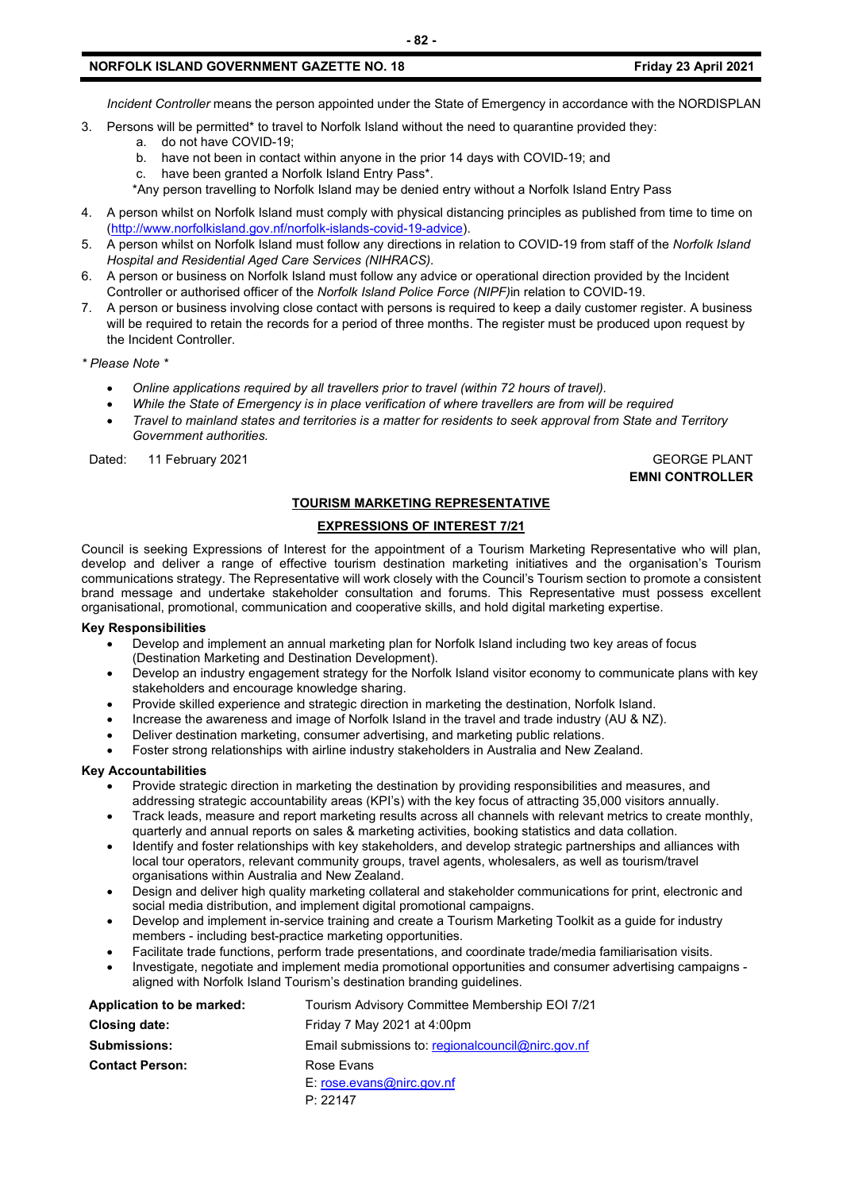*Incident Controller* means the person appointed under the State of Emergency in accordance with the NORDISPLAN

**- 82 -**

- 3. Persons will be permitted\* to travel to Norfolk Island without the need to quarantine provided they:
	- a. do not have COVID-19;
	- b. have not been in contact within anyone in the prior 14 days with COVID-19; and
	- c. have been granted a Norfolk Island Entry Pass\*.
	- \*Any person travelling to Norfolk Island may be denied entry without a Norfolk Island Entry Pass
- 4. A person whilst on Norfolk Island must comply with physical distancing principles as published from time to time on [\(http://www.norfolkisland.gov.nf/norfolk-islands-covid-19-advice\)](http://www.norfolkisland.gov.nf/norfolk-islands-covid-19-advice).
- 5. A person whilst on Norfolk Island must follow any directions in relation to COVID-19 from staff of the *Norfolk Island Hospital and Residential Aged Care Services (NIHRACS).*
- 6. A person or business on Norfolk Island must follow any advice or operational direction provided by the Incident Controller or authorised officer of the *Norfolk Island Police Force (NIPF)*in relation to COVID-19.
- 7. A person or business involving close contact with persons is required to keep a daily customer register. A business will be required to retain the records for a period of three months. The register must be produced upon request by the Incident Controller.

*\* Please Note \** 

- *Online applications required by all travellers prior to travel (within 72 hours of travel).*
- *While the State of Emergency is in place verification of where travellers are from will be required*
- *Travel to mainland states and territories is a matter for residents to seek approval from State and Territory Government authorities.*

Dated: 11 February 2021 GEORGE PLANT

**EMNI CONTROLLER**

#### **TOURISM MARKETING REPRESENTATIVE**

#### **EXPRESSIONS OF INTEREST 7/21**

Council is seeking Expressions of Interest for the appointment of a Tourism Marketing Representative who will plan, develop and deliver a range of effective tourism destination marketing initiatives and the organisation's Tourism communications strategy. The Representative will work closely with the Council's Tourism section to promote a consistent brand message and undertake stakeholder consultation and forums. This Representative must possess excellent organisational, promotional, communication and cooperative skills, and hold digital marketing expertise.

#### **Key Responsibilities**

- Develop and implement an annual marketing plan for Norfolk Island including two key areas of focus (Destination Marketing and Destination Development).
- Develop an industry engagement strategy for the Norfolk Island visitor economy to communicate plans with key stakeholders and encourage knowledge sharing.
- Provide skilled experience and strategic direction in marketing the destination, Norfolk Island.
- Increase the awareness and image of Norfolk Island in the travel and trade industry (AU & NZ).
- Deliver destination marketing, consumer advertising, and marketing public relations.
- Foster strong relationships with airline industry stakeholders in Australia and New Zealand.

#### **Key Accountabilities**

- Provide strategic direction in marketing the destination by providing responsibilities and measures, and addressing strategic accountability areas (KPI's) with the key focus of attracting 35,000 visitors annually.
- Track leads, measure and report marketing results across all channels with relevant metrics to create monthly, quarterly and annual reports on sales & marketing activities, booking statistics and data collation.
- Identify and foster relationships with key stakeholders, and develop strategic partnerships and alliances with local tour operators, relevant community groups, travel agents, wholesalers, as well as tourism/travel organisations within Australia and New Zealand.
- Design and deliver high quality marketing collateral and stakeholder communications for print, electronic and social media distribution, and implement digital promotional campaigns.
- Develop and implement in-service training and create a Tourism Marketing Toolkit as a guide for industry members - including best-practice marketing opportunities.
- Facilitate trade functions, perform trade presentations, and coordinate trade/media familiarisation visits.
- Investigate, negotiate and implement media promotional opportunities and consumer advertising campaigns aligned with Norfolk Island Tourism's destination branding guidelines.

| Application to be marked: | Tourism Advisory Committee Membership EOI 7/21    |  |  |
|---------------------------|---------------------------------------------------|--|--|
| Closing date:             | Friday 7 May 2021 at 4:00pm                       |  |  |
| <b>Submissions:</b>       | Email submissions to: regionalcouncil@nirc.gov.nf |  |  |
| <b>Contact Person:</b>    | Rose Evans                                        |  |  |
|                           | E: rose.evans@nirc.gov.nf                         |  |  |
|                           | P: 22147                                          |  |  |